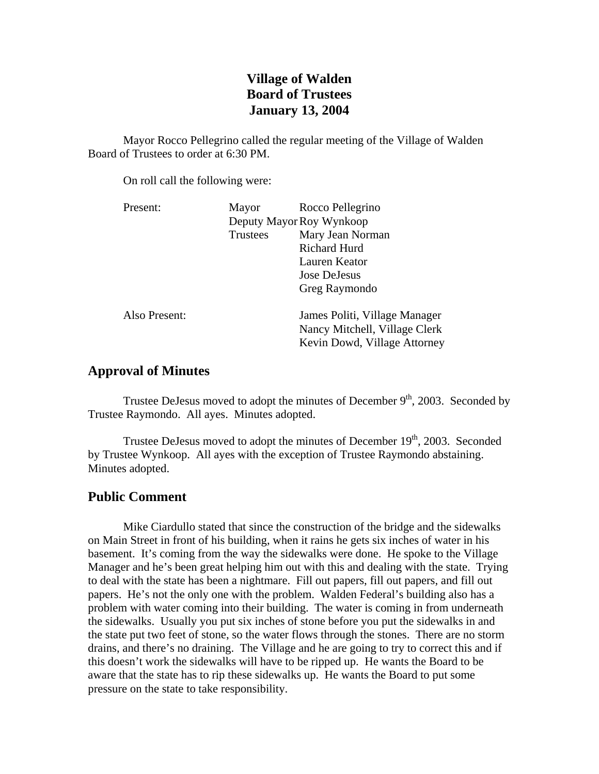# **Village of Walden Board of Trustees January 13, 2004**

Mayor Rocco Pellegrino called the regular meeting of the Village of Walden Board of Trustees to order at 6:30 PM.

On roll call the following were:

| Present:      | Mayor                    | Rocco Pellegrino                                                                               |
|---------------|--------------------------|------------------------------------------------------------------------------------------------|
|               | Deputy Mayor Roy Wynkoop |                                                                                                |
|               | <b>Trustees</b>          | Mary Jean Norman                                                                               |
|               |                          | <b>Richard Hurd</b>                                                                            |
|               |                          | Lauren Keator                                                                                  |
|               |                          | Jose DeJesus                                                                                   |
|               |                          | Greg Raymondo                                                                                  |
| Also Present: |                          | James Politi, Village Manager<br>Nancy Mitchell, Village Clerk<br>Kevin Dowd, Village Attorney |

## **Approval of Minutes**

Trustee DeJesus moved to adopt the minutes of December  $9<sup>th</sup>$ , 2003. Seconded by Trustee Raymondo. All ayes. Minutes adopted.

Trustee DeJesus moved to adopt the minutes of December  $19<sup>th</sup>$ , 2003. Seconded by Trustee Wynkoop. All ayes with the exception of Trustee Raymondo abstaining. Minutes adopted.

## **Public Comment**

Mike Ciardullo stated that since the construction of the bridge and the sidewalks on Main Street in front of his building, when it rains he gets six inches of water in his basement. It's coming from the way the sidewalks were done. He spoke to the Village Manager and he's been great helping him out with this and dealing with the state. Trying to deal with the state has been a nightmare. Fill out papers, fill out papers, and fill out papers. He's not the only one with the problem. Walden Federal's building also has a problem with water coming into their building. The water is coming in from underneath the sidewalks. Usually you put six inches of stone before you put the sidewalks in and the state put two feet of stone, so the water flows through the stones. There are no storm drains, and there's no draining. The Village and he are going to try to correct this and if this doesn't work the sidewalks will have to be ripped up. He wants the Board to be aware that the state has to rip these sidewalks up. He wants the Board to put some pressure on the state to take responsibility.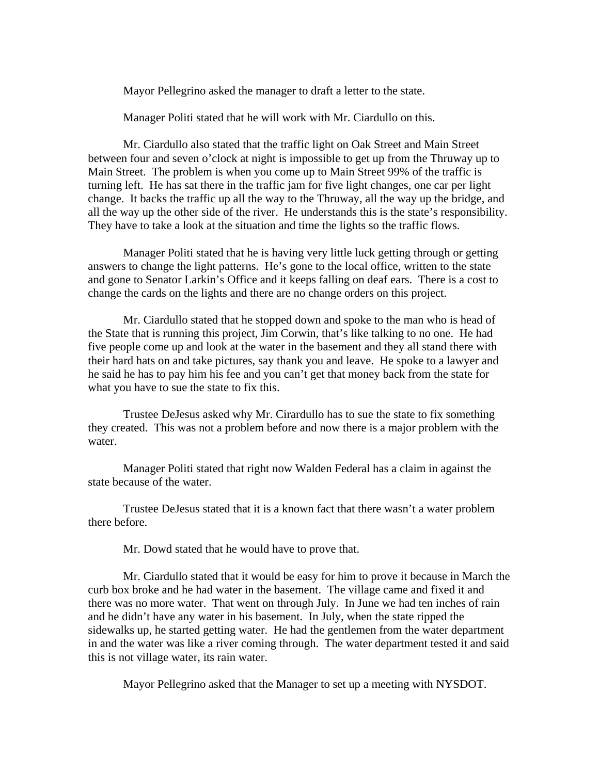Mayor Pellegrino asked the manager to draft a letter to the state.

Manager Politi stated that he will work with Mr. Ciardullo on this.

 Mr. Ciardullo also stated that the traffic light on Oak Street and Main Street between four and seven o'clock at night is impossible to get up from the Thruway up to Main Street. The problem is when you come up to Main Street 99% of the traffic is turning left. He has sat there in the traffic jam for five light changes, one car per light change. It backs the traffic up all the way to the Thruway, all the way up the bridge, and all the way up the other side of the river. He understands this is the state's responsibility. They have to take a look at the situation and time the lights so the traffic flows.

 Manager Politi stated that he is having very little luck getting through or getting answers to change the light patterns. He's gone to the local office, written to the state and gone to Senator Larkin's Office and it keeps falling on deaf ears. There is a cost to change the cards on the lights and there are no change orders on this project.

 Mr. Ciardullo stated that he stopped down and spoke to the man who is head of the State that is running this project, Jim Corwin, that's like talking to no one. He had five people come up and look at the water in the basement and they all stand there with their hard hats on and take pictures, say thank you and leave. He spoke to a lawyer and he said he has to pay him his fee and you can't get that money back from the state for what you have to sue the state to fix this.

 Trustee DeJesus asked why Mr. Cirardullo has to sue the state to fix something they created. This was not a problem before and now there is a major problem with the water.

 Manager Politi stated that right now Walden Federal has a claim in against the state because of the water.

 Trustee DeJesus stated that it is a known fact that there wasn't a water problem there before.

Mr. Dowd stated that he would have to prove that.

 Mr. Ciardullo stated that it would be easy for him to prove it because in March the curb box broke and he had water in the basement. The village came and fixed it and there was no more water. That went on through July. In June we had ten inches of rain and he didn't have any water in his basement. In July, when the state ripped the sidewalks up, he started getting water. He had the gentlemen from the water department in and the water was like a river coming through. The water department tested it and said this is not village water, its rain water.

Mayor Pellegrino asked that the Manager to set up a meeting with NYSDOT.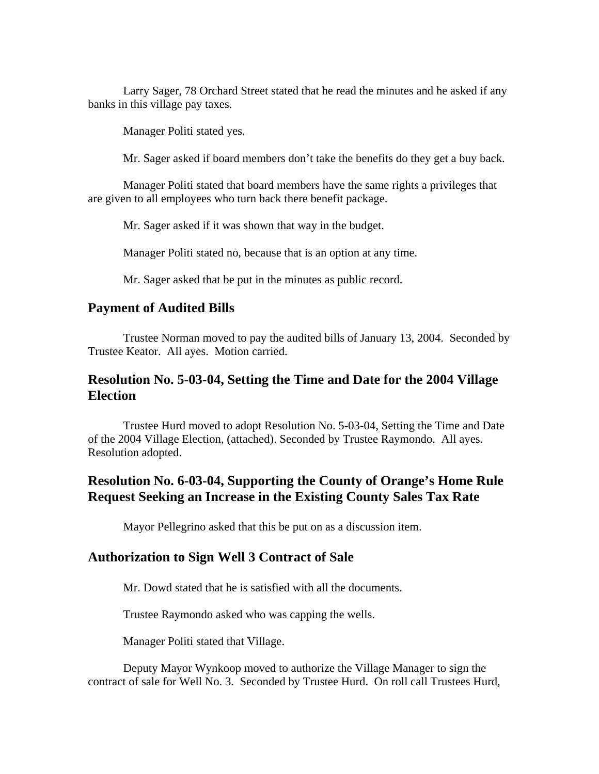Larry Sager, 78 Orchard Street stated that he read the minutes and he asked if any banks in this village pay taxes.

Manager Politi stated yes.

Mr. Sager asked if board members don't take the benefits do they get a buy back.

 Manager Politi stated that board members have the same rights a privileges that are given to all employees who turn back there benefit package.

Mr. Sager asked if it was shown that way in the budget.

Manager Politi stated no, because that is an option at any time.

Mr. Sager asked that be put in the minutes as public record.

## **Payment of Audited Bills**

Trustee Norman moved to pay the audited bills of January 13, 2004. Seconded by Trustee Keator. All ayes. Motion carried.

# **Resolution No. 5-03-04, Setting the Time and Date for the 2004 Village Election**

Trustee Hurd moved to adopt Resolution No. 5-03-04, Setting the Time and Date of the 2004 Village Election, (attached). Seconded by Trustee Raymondo. All ayes. Resolution adopted.

# **Resolution No. 6-03-04, Supporting the County of Orange's Home Rule Request Seeking an Increase in the Existing County Sales Tax Rate**

Mayor Pellegrino asked that this be put on as a discussion item.

## **Authorization to Sign Well 3 Contract of Sale**

Mr. Dowd stated that he is satisfied with all the documents.

Trustee Raymondo asked who was capping the wells.

Manager Politi stated that Village.

Deputy Mayor Wynkoop moved to authorize the Village Manager to sign the contract of sale for Well No. 3. Seconded by Trustee Hurd. On roll call Trustees Hurd,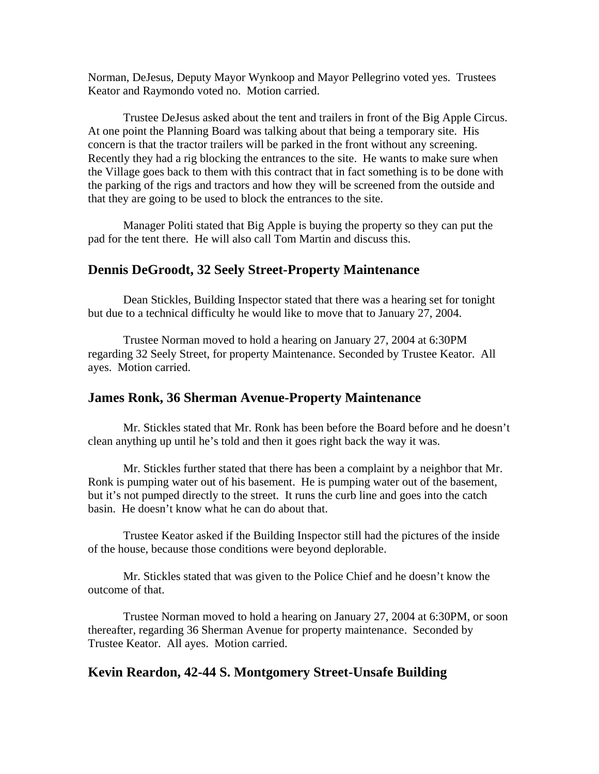Norman, DeJesus, Deputy Mayor Wynkoop and Mayor Pellegrino voted yes. Trustees Keator and Raymondo voted no. Motion carried.

 Trustee DeJesus asked about the tent and trailers in front of the Big Apple Circus. At one point the Planning Board was talking about that being a temporary site. His concern is that the tractor trailers will be parked in the front without any screening. Recently they had a rig blocking the entrances to the site. He wants to make sure when the Village goes back to them with this contract that in fact something is to be done with the parking of the rigs and tractors and how they will be screened from the outside and that they are going to be used to block the entrances to the site.

 Manager Politi stated that Big Apple is buying the property so they can put the pad for the tent there. He will also call Tom Martin and discuss this.

## **Dennis DeGroodt, 32 Seely Street-Property Maintenance**

Dean Stickles, Building Inspector stated that there was a hearing set for tonight but due to a technical difficulty he would like to move that to January 27, 2004.

 Trustee Norman moved to hold a hearing on January 27, 2004 at 6:30PM regarding 32 Seely Street, for property Maintenance. Seconded by Trustee Keator. All ayes. Motion carried.

#### **James Ronk, 36 Sherman Avenue-Property Maintenance**

Mr. Stickles stated that Mr. Ronk has been before the Board before and he doesn't clean anything up until he's told and then it goes right back the way it was.

 Mr. Stickles further stated that there has been a complaint by a neighbor that Mr. Ronk is pumping water out of his basement. He is pumping water out of the basement, but it's not pumped directly to the street. It runs the curb line and goes into the catch basin. He doesn't know what he can do about that.

 Trustee Keator asked if the Building Inspector still had the pictures of the inside of the house, because those conditions were beyond deplorable.

 Mr. Stickles stated that was given to the Police Chief and he doesn't know the outcome of that.

Trustee Norman moved to hold a hearing on January 27, 2004 at 6:30PM, or soon thereafter, regarding 36 Sherman Avenue for property maintenance. Seconded by Trustee Keator. All ayes. Motion carried.

## **Kevin Reardon, 42-44 S. Montgomery Street-Unsafe Building**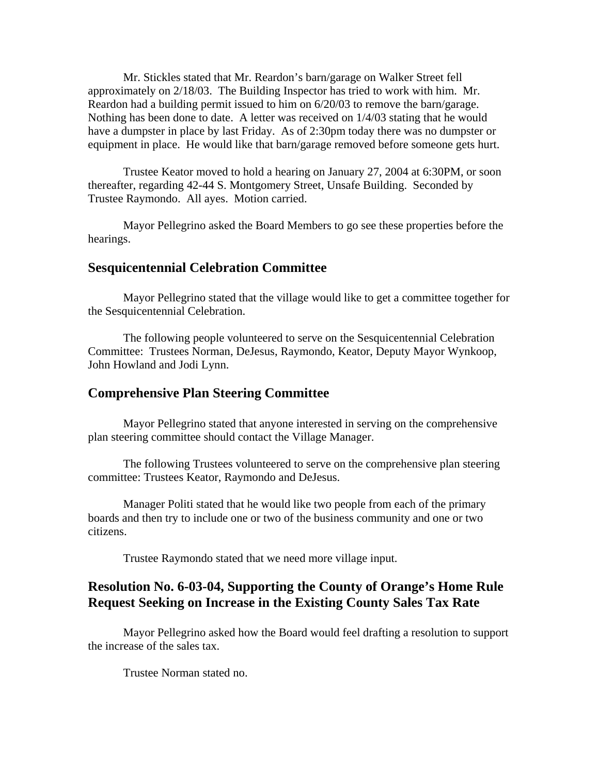Mr. Stickles stated that Mr. Reardon's barn/garage on Walker Street fell approximately on 2/18/03. The Building Inspector has tried to work with him. Mr. Reardon had a building permit issued to him on 6/20/03 to remove the barn/garage. Nothing has been done to date. A letter was received on 1/4/03 stating that he would have a dumpster in place by last Friday. As of 2:30pm today there was no dumpster or equipment in place. He would like that barn/garage removed before someone gets hurt.

 Trustee Keator moved to hold a hearing on January 27, 2004 at 6:30PM, or soon thereafter, regarding 42-44 S. Montgomery Street, Unsafe Building. Seconded by Trustee Raymondo. All ayes. Motion carried.

 Mayor Pellegrino asked the Board Members to go see these properties before the hearings.

### **Sesquicentennial Celebration Committee**

Mayor Pellegrino stated that the village would like to get a committee together for the Sesquicentennial Celebration.

The following people volunteered to serve on the Sesquicentennial Celebration Committee: Trustees Norman, DeJesus, Raymondo, Keator, Deputy Mayor Wynkoop, John Howland and Jodi Lynn.

### **Comprehensive Plan Steering Committee**

 Mayor Pellegrino stated that anyone interested in serving on the comprehensive plan steering committee should contact the Village Manager.

The following Trustees volunteered to serve on the comprehensive plan steering committee: Trustees Keator, Raymondo and DeJesus.

 Manager Politi stated that he would like two people from each of the primary boards and then try to include one or two of the business community and one or two citizens.

Trustee Raymondo stated that we need more village input.

# **Resolution No. 6-03-04, Supporting the County of Orange's Home Rule Request Seeking on Increase in the Existing County Sales Tax Rate**

Mayor Pellegrino asked how the Board would feel drafting a resolution to support the increase of the sales tax.

Trustee Norman stated no.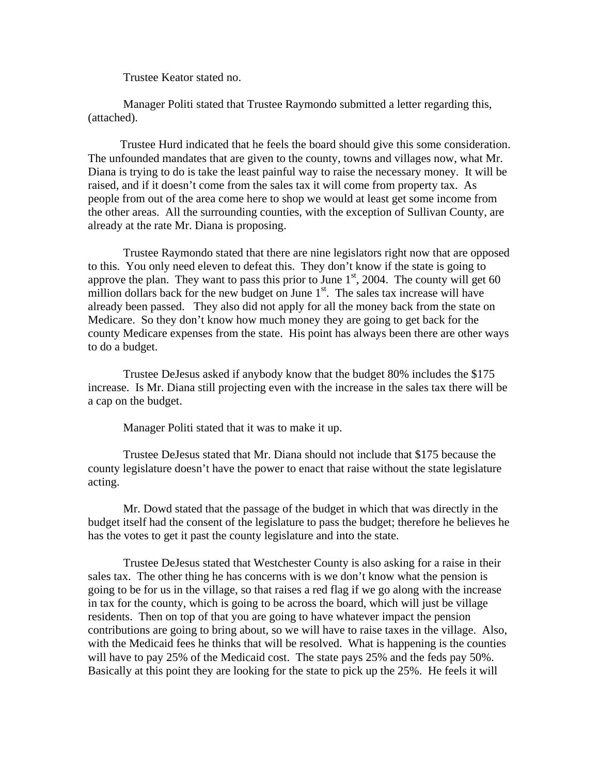Trustee Keator stated no.

 Manager Politi stated that Trustee Raymondo submitted a letter regarding this, (attached).

 Trustee Hurd indicated that he feels the board should give this some consideration. The unfounded mandates that are given to the county, towns and villages now, what Mr. Diana is trying to do is take the least painful way to raise the necessary money. It will be raised, and if it doesn't come from the sales tax it will come from property tax. As people from out of the area come here to shop we would at least get some income from the other areas. All the surrounding counties, with the exception of Sullivan County, are already at the rate Mr. Diana is proposing.

 Trustee Raymondo stated that there are nine legislators right now that are opposed to this. You only need eleven to defeat this. They don't know if the state is going to approve the plan. They want to pass this prior to June  $1<sup>st</sup>$ , 2004. The county will get 60 million dollars back for the new budget on June  $1<sup>st</sup>$ . The sales tax increase will have already been passed. They also did not apply for all the money back from the state on Medicare. So they don't know how much money they are going to get back for the county Medicare expenses from the state. His point has always been there are other ways to do a budget.

 Trustee DeJesus asked if anybody know that the budget 80% includes the \$175 increase. Is Mr. Diana still projecting even with the increase in the sales tax there will be a cap on the budget.

Manager Politi stated that it was to make it up.

 Trustee DeJesus stated that Mr. Diana should not include that \$175 because the county legislature doesn't have the power to enact that raise without the state legislature acting.

 Mr. Dowd stated that the passage of the budget in which that was directly in the budget itself had the consent of the legislature to pass the budget; therefore he believes he has the votes to get it past the county legislature and into the state.

 Trustee DeJesus stated that Westchester County is also asking for a raise in their sales tax. The other thing he has concerns with is we don't know what the pension is going to be for us in the village, so that raises a red flag if we go along with the increase in tax for the county, which is going to be across the board, which will just be village residents. Then on top of that you are going to have whatever impact the pension contributions are going to bring about, so we will have to raise taxes in the village. Also, with the Medicaid fees he thinks that will be resolved. What is happening is the counties will have to pay 25% of the Medicaid cost. The state pays 25% and the feds pay 50%. Basically at this point they are looking for the state to pick up the 25%. He feels it will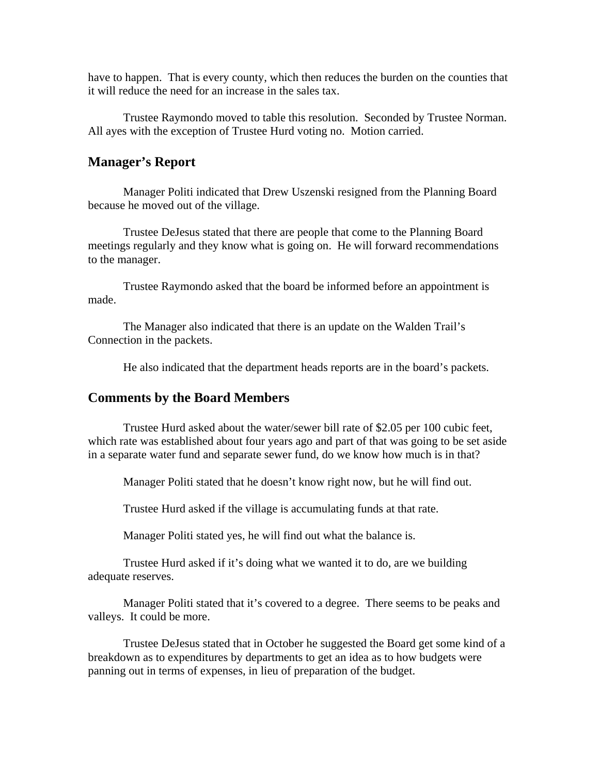have to happen. That is every county, which then reduces the burden on the counties that it will reduce the need for an increase in the sales tax.

 Trustee Raymondo moved to table this resolution. Seconded by Trustee Norman. All ayes with the exception of Trustee Hurd voting no. Motion carried.

#### **Manager's Report**

Manager Politi indicated that Drew Uszenski resigned from the Planning Board because he moved out of the village.

 Trustee DeJesus stated that there are people that come to the Planning Board meetings regularly and they know what is going on. He will forward recommendations to the manager.

 Trustee Raymondo asked that the board be informed before an appointment is made.

 The Manager also indicated that there is an update on the Walden Trail's Connection in the packets.

He also indicated that the department heads reports are in the board's packets.

#### **Comments by the Board Members**

Trustee Hurd asked about the water/sewer bill rate of \$2.05 per 100 cubic feet, which rate was established about four years ago and part of that was going to be set aside in a separate water fund and separate sewer fund, do we know how much is in that?

Manager Politi stated that he doesn't know right now, but he will find out.

Trustee Hurd asked if the village is accumulating funds at that rate.

Manager Politi stated yes, he will find out what the balance is.

 Trustee Hurd asked if it's doing what we wanted it to do, are we building adequate reserves.

 Manager Politi stated that it's covered to a degree. There seems to be peaks and valleys. It could be more.

 Trustee DeJesus stated that in October he suggested the Board get some kind of a breakdown as to expenditures by departments to get an idea as to how budgets were panning out in terms of expenses, in lieu of preparation of the budget.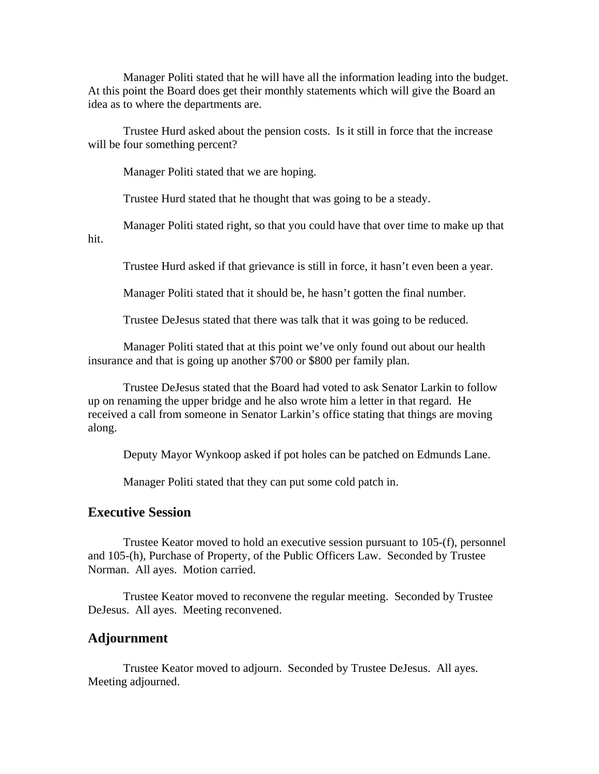Manager Politi stated that he will have all the information leading into the budget. At this point the Board does get their monthly statements which will give the Board an idea as to where the departments are.

 Trustee Hurd asked about the pension costs. Is it still in force that the increase will be four something percent?

Manager Politi stated that we are hoping.

Trustee Hurd stated that he thought that was going to be a steady.

 Manager Politi stated right, so that you could have that over time to make up that hit.

Trustee Hurd asked if that grievance is still in force, it hasn't even been a year.

Manager Politi stated that it should be, he hasn't gotten the final number.

Trustee DeJesus stated that there was talk that it was going to be reduced.

 Manager Politi stated that at this point we've only found out about our health insurance and that is going up another \$700 or \$800 per family plan.

 Trustee DeJesus stated that the Board had voted to ask Senator Larkin to follow up on renaming the upper bridge and he also wrote him a letter in that regard. He received a call from someone in Senator Larkin's office stating that things are moving along.

Deputy Mayor Wynkoop asked if pot holes can be patched on Edmunds Lane.

Manager Politi stated that they can put some cold patch in.

## **Executive Session**

Trustee Keator moved to hold an executive session pursuant to 105-(f), personnel and 105-(h), Purchase of Property, of the Public Officers Law. Seconded by Trustee Norman. All ayes. Motion carried.

 Trustee Keator moved to reconvene the regular meeting. Seconded by Trustee DeJesus. All ayes. Meeting reconvened.

#### **Adjournment**

Trustee Keator moved to adjourn. Seconded by Trustee DeJesus. All ayes. Meeting adjourned.